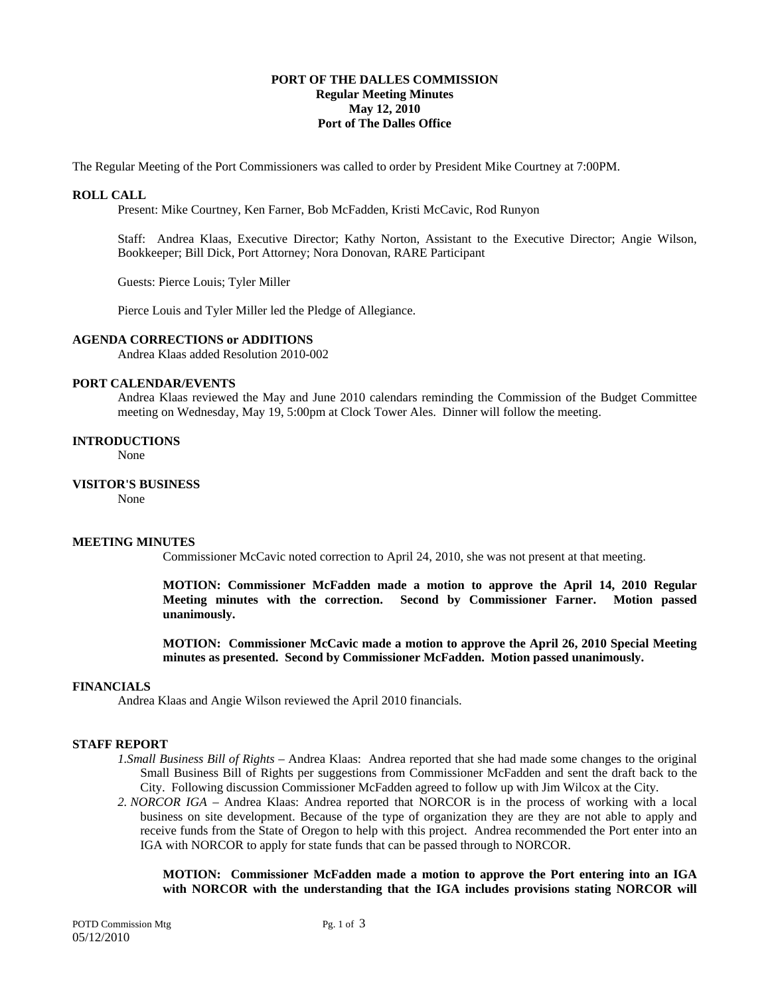### **PORT OF THE DALLES COMMISSION Regular Meeting Minutes May 12, 2010 Port of The Dalles Office**

The Regular Meeting of the Port Commissioners was called to order by President Mike Courtney at 7:00PM.

### **ROLL CALL**

Present: Mike Courtney, Ken Farner, Bob McFadden, Kristi McCavic, Rod Runyon

Staff: Andrea Klaas, Executive Director; Kathy Norton, Assistant to the Executive Director; Angie Wilson, Bookkeeper; Bill Dick, Port Attorney; Nora Donovan, RARE Participant

Guests: Pierce Louis; Tyler Miller

Pierce Louis and Tyler Miller led the Pledge of Allegiance.

# **AGENDA CORRECTIONS or ADDITIONS**

Andrea Klaas added Resolution 2010-002

### **PORT CALENDAR/EVENTS**

Andrea Klaas reviewed the May and June 2010 calendars reminding the Commission of the Budget Committee meeting on Wednesday, May 19, 5:00pm at Clock Tower Ales. Dinner will follow the meeting.

#### **INTRODUCTIONS**

None

# **VISITOR'S BUSINESS**

None

### **MEETING MINUTES**

Commissioner McCavic noted correction to April 24, 2010, she was not present at that meeting.

**MOTION: Commissioner McFadden made a motion to approve the April 14, 2010 Regular Meeting minutes with the correction. Second by Commissioner Farner. Motion passed unanimously.** 

**MOTION: Commissioner McCavic made a motion to approve the April 26, 2010 Special Meeting minutes as presented. Second by Commissioner McFadden. Motion passed unanimously.** 

### **FINANCIALS**

Andrea Klaas and Angie Wilson reviewed the April 2010 financials.

#### **STAFF REPORT**

- *1.Small Business Bill of Rights* Andrea Klaas: Andrea reported that she had made some changes to the original Small Business Bill of Rights per suggestions from Commissioner McFadden and sent the draft back to the City. Following discussion Commissioner McFadden agreed to follow up with Jim Wilcox at the City.
- *2. NORCOR IGA* Andrea Klaas: Andrea reported that NORCOR is in the process of working with a local business on site development. Because of the type of organization they are they are not able to apply and receive funds from the State of Oregon to help with this project. Andrea recommended the Port enter into an IGA with NORCOR to apply for state funds that can be passed through to NORCOR.

**MOTION: Commissioner McFadden made a motion to approve the Port entering into an IGA with NORCOR with the understanding that the IGA includes provisions stating NORCOR will**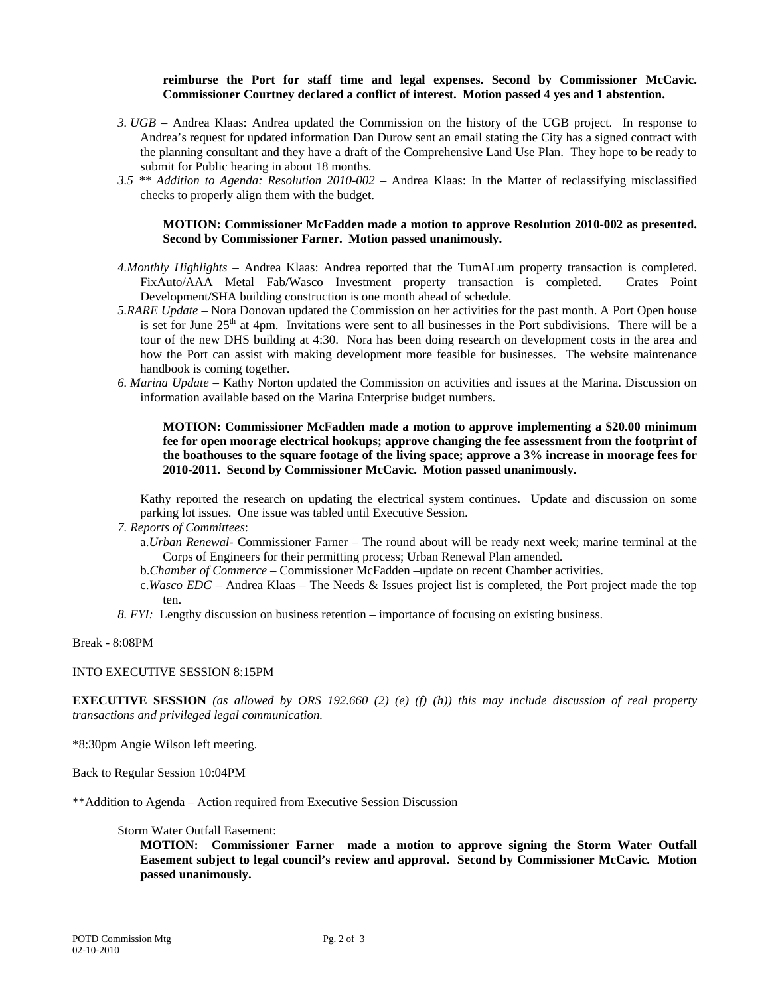# **reimburse the Port for staff time and legal expenses. Second by Commissioner McCavic. Commissioner Courtney declared a conflict of interest. Motion passed 4 yes and 1 abstention.**

- *3. UGB* Andrea Klaas: Andrea updated the Commission on the history of the UGB project. In response to Andrea's request for updated information Dan Durow sent an email stating the City has a signed contract with the planning consultant and they have a draft of the Comprehensive Land Use Plan. They hope to be ready to submit for Public hearing in about 18 months.
- *3.5 \*\* Addition to Agenda: Resolution 2010-002* Andrea Klaas: In the Matter of reclassifying misclassified checks to properly align them with the budget.

### **MOTION: Commissioner McFadden made a motion to approve Resolution 2010-002 as presented. Second by Commissioner Farner. Motion passed unanimously.**

- *4.Monthly Highlights* Andrea Klaas: Andrea reported that the TumALum property transaction is completed. FixAuto/AAA Metal Fab/Wasco Investment property transaction is completed. Crates Point Development/SHA building construction is one month ahead of schedule.
- *5.RARE Update* Nora Donovan updated the Commission on her activities for the past month. A Port Open house is set for June 25<sup>th</sup> at 4pm. Invitations were sent to all businesses in the Port subdivisions. There will be a tour of the new DHS building at 4:30. Nora has been doing research on development costs in the area and how the Port can assist with making development more feasible for businesses. The website maintenance handbook is coming together.
- *6. Marina Update* Kathy Norton updated the Commission on activities and issues at the Marina. Discussion on information available based on the Marina Enterprise budget numbers.

**MOTION: Commissioner McFadden made a motion to approve implementing a \$20.00 minimum fee for open moorage electrical hookups; approve changing the fee assessment from the footprint of the boathouses to the square footage of the living space; approve a 3% increase in moorage fees for 2010-2011. Second by Commissioner McCavic. Motion passed unanimously.** 

Kathy reported the research on updating the electrical system continues. Update and discussion on some parking lot issues. One issue was tabled until Executive Session.

- *7. Reports of Committees*:
	- a.*Urban Renewal-* Commissioner Farner The round about will be ready next week; marine terminal at the Corps of Engineers for their permitting process; Urban Renewal Plan amended.
	- b.*Chamber of Commerce*  Commissioner McFadden –update on recent Chamber activities.
	- c.*Wasco EDC* Andrea Klaas The Needs & Issues project list is completed, the Port project made the top ten.
- *8. FYI:* Lengthy discussion on business retention importance of focusing on existing business.

Break - 8:08PM

### INTO EXECUTIVE SESSION 8:15PM

**EXECUTIVE SESSION** *(as allowed by ORS 192.660 (2) (e) (f) (h)) this may include discussion of real property transactions and privileged legal communication.* 

\*8:30pm Angie Wilson left meeting.

Back to Regular Session 10:04PM

\*\*Addition to Agenda – Action required from Executive Session Discussion

# Storm Water Outfall Easement:

**MOTION: Commissioner Farner made a motion to approve signing the Storm Water Outfall Easement subject to legal council's review and approval. Second by Commissioner McCavic. Motion passed unanimously.**